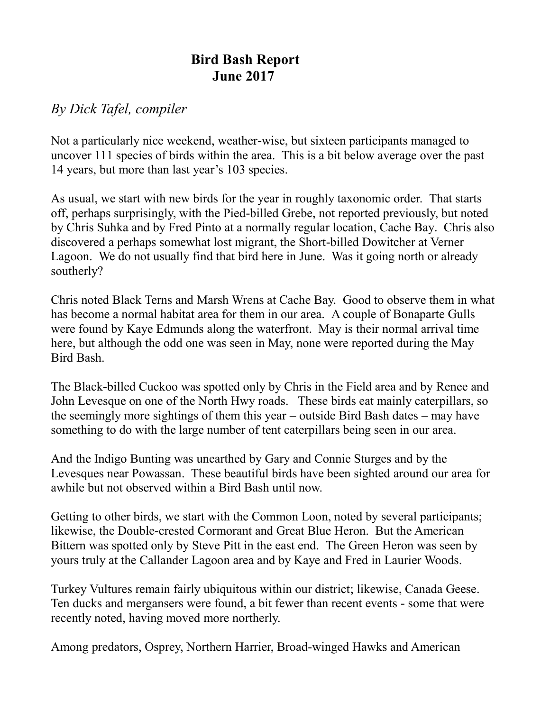## **Bird Bash Report June 2017**

## *By Dick Tafel, compiler*

Not a particularly nice weekend, weather-wise, but sixteen participants managed to uncover 111 species of birds within the area. This is a bit below average over the past 14 years, but more than last year's 103 species.

As usual, we start with new birds for the year in roughly taxonomic order. That starts off, perhaps surprisingly, with the Pied-billed Grebe, not reported previously, but noted by Chris Suhka and by Fred Pinto at a normally regular location, Cache Bay. Chris also discovered a perhaps somewhat lost migrant, the Short-billed Dowitcher at Verner Lagoon. We do not usually find that bird here in June. Was it going north or already southerly?

Chris noted Black Terns and Marsh Wrens at Cache Bay. Good to observe them in what has become a normal habitat area for them in our area. A couple of Bonaparte Gulls were found by Kaye Edmunds along the waterfront. May is their normal arrival time here, but although the odd one was seen in May, none were reported during the May Bird Bash.

The Black-billed Cuckoo was spotted only by Chris in the Field area and by Renee and John Levesque on one of the North Hwy roads. These birds eat mainly caterpillars, so the seemingly more sightings of them this year – outside Bird Bash dates – may have something to do with the large number of tent caterpillars being seen in our area.

And the Indigo Bunting was unearthed by Gary and Connie Sturges and by the Levesques near Powassan. These beautiful birds have been sighted around our area for awhile but not observed within a Bird Bash until now.

Getting to other birds, we start with the Common Loon, noted by several participants; likewise, the Double-crested Cormorant and Great Blue Heron. But the American Bittern was spotted only by Steve Pitt in the east end. The Green Heron was seen by yours truly at the Callander Lagoon area and by Kaye and Fred in Laurier Woods.

Turkey Vultures remain fairly ubiquitous within our district; likewise, Canada Geese. Ten ducks and mergansers were found, a bit fewer than recent events - some that were recently noted, having moved more northerly.

Among predators, Osprey, Northern Harrier, Broad-winged Hawks and American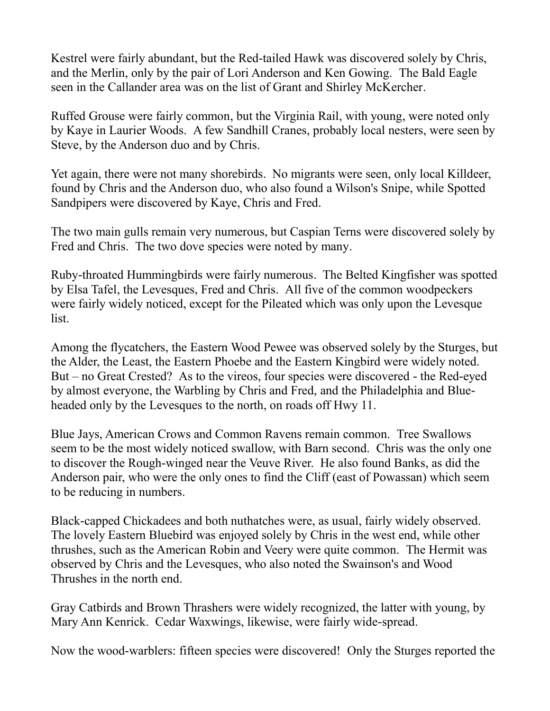Kestrel were fairly abundant, but the Red-tailed Hawk was discovered solely by Chris, and the Merlin, only by the pair of Lori Anderson and Ken Gowing. The Bald Eagle seen in the Callander area was on the list of Grant and Shirley McKercher.

Ruffed Grouse were fairly common, but the Virginia Rail, with young, were noted only by Kaye in Laurier Woods. A few Sandhill Cranes, probably local nesters, were seen by Steve, by the Anderson duo and by Chris.

Yet again, there were not many shorebirds. No migrants were seen, only local Killdeer, found by Chris and the Anderson duo, who also found a Wilson's Snipe, while Spotted Sandpipers were discovered by Kaye, Chris and Fred.

The two main gulls remain very numerous, but Caspian Terns were discovered solely by Fred and Chris. The two dove species were noted by many.

Ruby-throated Hummingbirds were fairly numerous. The Belted Kingfisher was spotted by Elsa Tafel, the Levesques, Fred and Chris. All five of the common woodpeckers were fairly widely noticed, except for the Pileated which was only upon the Levesque list.

Among the flycatchers, the Eastern Wood Pewee was observed solely by the Sturges, but the Alder, the Least, the Eastern Phoebe and the Eastern Kingbird were widely noted. But – no Great Crested? As to the vireos, four species were discovered - the Red-eyed by almost everyone, the Warbling by Chris and Fred, and the Philadelphia and Blueheaded only by the Levesques to the north, on roads off Hwy 11.

Blue Jays, American Crows and Common Ravens remain common. Tree Swallows seem to be the most widely noticed swallow, with Barn second. Chris was the only one to discover the Rough-winged near the Veuve River. He also found Banks, as did the Anderson pair, who were the only ones to find the Cliff (east of Powassan) which seem to be reducing in numbers.

Black-capped Chickadees and both nuthatches were, as usual, fairly widely observed. The lovely Eastern Bluebird was enjoyed solely by Chris in the west end, while other thrushes, such as the American Robin and Veery were quite common. The Hermit was observed by Chris and the Levesques, who also noted the Swainson's and Wood Thrushes in the north end.

Gray Catbirds and Brown Thrashers were widely recognized, the latter with young, by Mary Ann Kenrick. Cedar Waxwings, likewise, were fairly wide-spread.

Now the wood-warblers: fifteen species were discovered! Only the Sturges reported the